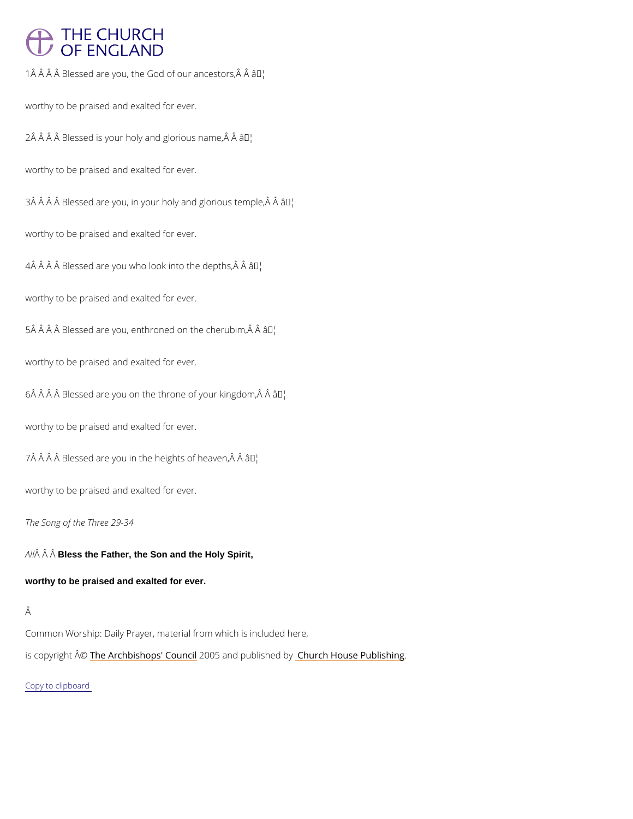## **THE CHURCH** OF ENGLAND

 $1 \,\hat{A}$   $\hat{A}$   $\hat{A}$   $\hat{B}$  lessed are you, the God  $\hat{a}$ d $\hat{B}$  our ancestors,  $\hat{A}$   $\hat{A}$ 

worthy to be praised and exalted for ever.

 $2 \hat{A}$   $\hat{A}$   $\hat{A}$   $\hat{B}$  Blessed is your holy anal  $\mathbb{R}$  lorious name,  $\hat{A}$   $\hat{A}$ 

worthy to be praised and exalted for ever.

 $3 \hat{A}$   $\hat{A}$   $\hat{A}$   $\hat{B}$  Blessed are you, in your holy  $\hat{a}$   $\hat{B}$   $\hat{B}$   $\hat{B}$   $\hat{C}$  and  $\hat{C}$   $\hat{B}$   $\hat{C}$  and  $\hat{C}$   $\hat{B}$   $\hat{C}$   $\hat{C}$   $\hat{C}$   $\hat{C}$   $\hat{C}$   $\hat{C}$   $\hat{C}$   $\hat{C}$   $\hat{C}$ 

worthy to be praised and exalted for ever.

 $4 \text{\AA}$   $\text{\AA}$   $\text{\AA}$   $\text{\AA}$  Blessed are you who look a Thito the depths,  $\text{\AA}$   $\text{\AA}$ 

worthy to be praised and exalted for ever.

 $5 \hat{A}$   $\hat{A}$   $\hat{A}$   $\hat{B}$  lessed are you, enthroned  $\hat{a}$   $\hat{b}$   $\hat{b}$  the cherubim,  $\hat{A}$   $\hat{A}$ 

worthy to be praised and exalted for ever.

 $6 \text{\AA}$   $\text{\AA}$   $\text{\AA}$   $\text{\AA}$  Blessed are you on the thron $\hat{\bm{x}}^{\text{TM}}$ df your kingdom, $\text{\AA}$   $\text{\AA}$ 

worthy to be praised and exalted for ever.

 $7 \,\hat{A}$   $\hat{A}$   $\hat{A}$   $\hat{B}$  lessed are you in the hæ $\hat{B}$  then  $\hat{B}$  of heaven,  $\hat{A}$   $\hat{A}$ 

worthy to be praised and exalted for ever.

The Song of the Three 29-34

worthy to be praised and exalted for ever.

A  $\hat{A}$   $\hat{A}$  B $\hat{B}$ ss the Father, the Son and the Holy Spirit,

## Â

## Common Worship: Daily Prayer, material from which is included here,

is copyrighth  $\hat{\mathbb{A}}$  @Archbishops' 2000 u5 n and published by House Publishing

Copy to clipboard